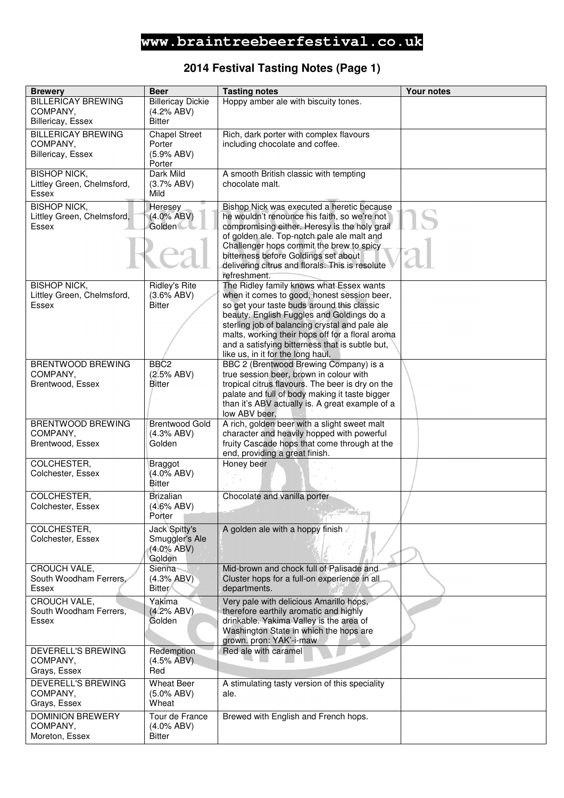### **2014 Festival Tasting Notes (Page 1)**

| <b>Brewery</b>                                                    | <b>Beer</b>                                                | <b>Tasting notes</b>                                                                                                                                                                                                                                                                                                                                                             | <b>Your notes</b> |
|-------------------------------------------------------------------|------------------------------------------------------------|----------------------------------------------------------------------------------------------------------------------------------------------------------------------------------------------------------------------------------------------------------------------------------------------------------------------------------------------------------------------------------|-------------------|
| <b>BILLERICAY BREWING</b><br>COMPANY,<br>Billericay, Essex        | <b>Billericay Dickie</b><br>(4.2% ABV)<br><b>Bitter</b>    | Hoppy amber ale with biscuity tones.                                                                                                                                                                                                                                                                                                                                             |                   |
| <b>BILLERICAY BREWING</b><br>COMPANY,<br><b>Billericay, Essex</b> | <b>Chapel Street</b><br>Porter<br>(5.9% ABV)<br>Porter     | Rich, dark porter with complex flavours<br>including chocolate and coffee.                                                                                                                                                                                                                                                                                                       |                   |
| <b>BISHOP NICK,</b><br>Littley Green, Chelmsford,<br>Essex        | Dark Mild<br>(3.7% ABV)<br>Mild                            | A smooth British classic with tempting<br>chocolate malt.                                                                                                                                                                                                                                                                                                                        |                   |
| <b>BISHOP NICK,</b><br>Littley Green, Chelmsford,<br>Essex        | Heresey<br>$(4.0\%$ ABV)<br><b>Golden</b>                  | Bishop Nick was executed a heretic because<br>he wouldn't renounce his faith, so we're not<br>compromising either. Heresy is the holy grail<br>of golden ale. Top-notch pale ale malt and<br>Challenger hops commit the brew to spicy<br>bitterness before Goldings set about<br>delivering citrus and florals. This is resolute<br>refreshment.                                 |                   |
| <b>BISHOP NICK,</b><br>Littley Green, Chelmsford,<br>Essex        | <b>Ridley's Rite</b><br>(3.6% ABV)<br><b>Bitter</b>        | The Ridley family knows what Essex wants<br>when it comes to good, honest session beer,<br>so get your taste buds around this classic<br>beauty. English Fuggles and Goldings do a<br>sterling job of balancing crystal and pale ale<br>malts, working their hops off for a floral aroma<br>and a satisfying bitterness that is subtle but,<br>like us, in it for the long haul. |                   |
| <b>BRENTWOOD BREWING</b><br>COMPANY,<br>Brentwood, Essex          | BBC <sub>2</sub><br>(2.5% ABV)<br><b>Bitter</b>            | BBC 2 (Brentwood Brewing Company) is a<br>true session beer, brown in colour with<br>tropical citrus flavours. The beer is dry on the<br>palate and full of body making it taste bigger<br>than it's ABV actually is. A great example of a<br>low ABV beer,                                                                                                                      |                   |
| <b>BRENTWOOD BREWING</b><br>COMPANY,<br>Brentwood, Essex          | <b>Brentwood Gold</b><br>(4.3% ABV)<br>Golden              | A rich, golden beer with a slight sweet malt<br>character and heavily hopped with powerful<br>fruity Cascade hops that come through at the<br>end, providing a great finish.                                                                                                                                                                                                     |                   |
| COLCHESTER,<br>Colchester, Essex                                  | <b>Braggot</b><br>(4.0% ABV)<br><b>Bitter</b>              | Honey beer                                                                                                                                                                                                                                                                                                                                                                       |                   |
| COLCHESTER,<br>Colchester, Essex                                  | <b>Brizalian</b><br>(4.6% ABV)<br>Porter                   | Chocolate and vanilla porter                                                                                                                                                                                                                                                                                                                                                     |                   |
| COLCHESTER,<br>Colchester, Essex                                  | Jack Spitty's<br>Smuggler's Ale<br>$(4.0\%$ ABV)<br>Golden | A golden ale with a hoppy finish                                                                                                                                                                                                                                                                                                                                                 |                   |
| CROUCH VALE,<br>South Woodham Ferrers.<br>Essex                   | Sienna<br>(4.3% ABV)<br><b>Bitter</b>                      | Mid-brown and chock full of Palisade and<br>Cluster hops for a full-on experience in all<br>departments.                                                                                                                                                                                                                                                                         |                   |
| CROUCH VALE,<br>South Woodham Ferrers,<br>Essex                   | Yakima<br>(4.2% ABV)<br>Golden                             | Very pale with delicious Amarillo hops,<br>therefore earthily aromatic and highly<br>drinkable. Yakima Valley is the area of<br>Washington State in which the hops are<br>grown. pron: YAK'-i-maw                                                                                                                                                                                |                   |
| DEVERELL'S BREWING<br>COMPANY,<br>Grays, Essex                    | Redemption<br>(4.5% ABV)<br>Red                            | Red ale with caramel                                                                                                                                                                                                                                                                                                                                                             |                   |
| DEVERELL'S BREWING<br>COMPANY,<br>Grays, Essex                    | <b>Wheat Beer</b><br>$(5.0\%$ ABV)<br>Wheat                | A stimulating tasty version of this speciality<br>ale.                                                                                                                                                                                                                                                                                                                           |                   |
| <b>DOMINION BREWERY</b><br>COMPANY,<br>Moreton, Essex             | Tour de France<br>$(4.0\%$ ABV)<br>Bitter                  | Brewed with English and French hops.                                                                                                                                                                                                                                                                                                                                             |                   |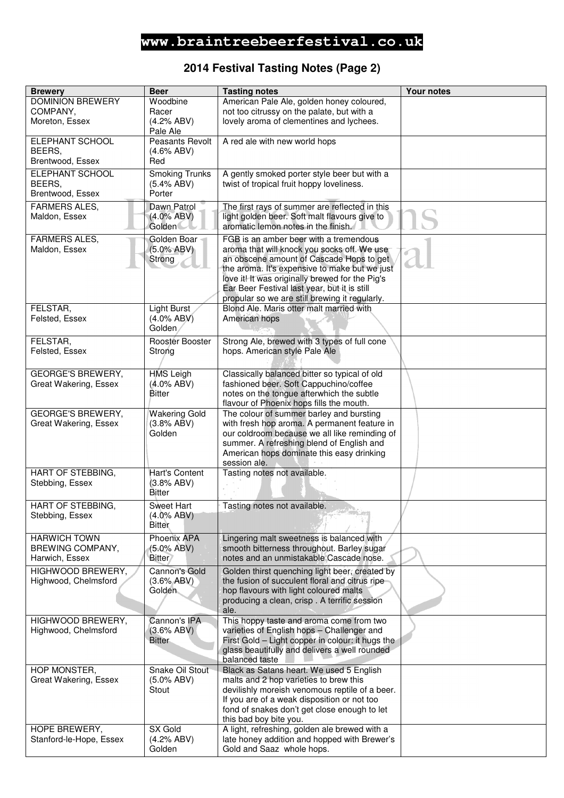## **2014 Festival Tasting Notes (Page 2)**

| <b>Brewery</b>                              | <b>Beer</b>                 | <b>Tasting notes</b>                                                                      | <b>Your notes</b> |
|---------------------------------------------|-----------------------------|-------------------------------------------------------------------------------------------|-------------------|
| <b>DOMINION BREWERY</b>                     | Woodbine                    | American Pale Ale, golden honey coloured,                                                 |                   |
| COMPANY,                                    | Racer                       | not too citrussy on the palate, but with a                                                |                   |
| Moreton, Essex                              | (4.2% ABV)                  | lovely aroma of clementines and lychees.                                                  |                   |
|                                             | Pale Ale                    |                                                                                           |                   |
| ELEPHANT SCHOOL                             | Peasants Revolt             | A red ale with new world hops                                                             |                   |
| BEERS,                                      | (4.6% ABV)                  |                                                                                           |                   |
| Brentwood, Essex                            | Red                         |                                                                                           |                   |
| ELEPHANT SCHOOL                             | <b>Smoking Trunks</b>       | A gently smoked porter style beer but with a                                              |                   |
| BEERS.                                      | (5.4% ABV)                  | twist of tropical fruit hoppy loveliness.                                                 |                   |
| Brentwood, Essex                            | Porter                      |                                                                                           |                   |
| <b>FARMERS ALES,</b>                        | Dawn Patrol                 | The first rays of summer are reflected in this                                            |                   |
| Maldon, Essex                               | $(4.0\%$ ABV)               | light golden beer. Soft malt flavours give to                                             |                   |
|                                             | <b>Golden</b>               | aromatic lemon notes in the finish.                                                       |                   |
| <b>FARMERS ALES,</b>                        | Golden Boar                 | FGB is an amber beer with a tremendous                                                    |                   |
| Maldon, Essex                               | $(5.0\% ABV)$               | aroma that will knock you socks off. We use                                               |                   |
|                                             | Strong                      | an obscene amount of Cascade Hops to get<br>the aroma. It's expensive to make but we just |                   |
|                                             |                             | love it! It was originally brewed for the Pig's                                           |                   |
|                                             |                             | Ear Beer Festival last year, but it is still                                              |                   |
|                                             |                             | propular so we are still brewing it regularly.                                            |                   |
| FELSTAR,                                    | <b>Light Burst</b>          | Blond Ale. Maris otter malt married with                                                  |                   |
| Felsted, Essex                              | $(4.0\%$ ABV)               | American hops                                                                             |                   |
|                                             | Golden                      |                                                                                           |                   |
| FELSTAR,                                    | Rooster Booster             | Strong Ale, brewed with 3 types of full cone                                              |                   |
| Felsted, Essex                              | Strong                      | hops. American style Pale Ale                                                             |                   |
|                                             |                             |                                                                                           |                   |
| <b>GEORGE'S BREWERY,</b>                    | <b>HMS Leigh</b>            | Classically balanced bitter so typical of old                                             |                   |
| Great Wakering, Essex                       | $(4.0\%$ ABV)               | fashioned beer. Soft Cappuchino/coffee                                                    |                   |
|                                             | <b>Bitter</b>               | notes on the tongue afterwhich the subtle                                                 |                   |
| <b>GEORGE'S BREWERY,</b>                    | <b>Wakering Gold</b>        | flavour of Phoenix hops fills the mouth.<br>The colour of summer barley and bursting      |                   |
| Great Wakering, Essex                       | (3.8% ABV)                  | with fresh hop aroma. A permanent feature in                                              |                   |
|                                             | Golden                      | our coldroom because we all like reminding of                                             |                   |
|                                             |                             | summer. A refreshing blend of English and                                                 |                   |
|                                             |                             | American hops dominate this easy drinking                                                 |                   |
|                                             |                             | session ale.                                                                              |                   |
| <b>HART OF STEBBING,</b>                    | <b>Hart's Content</b>       | Tasting notes not available.                                                              |                   |
| Stebbing, Essex                             | (3.8% ABV)<br>Bitter        |                                                                                           |                   |
|                                             |                             |                                                                                           |                   |
| <b>HART OF STEBBING,</b><br>Stebbing, Essex | Sweet Hart<br>$(4.0\%$ ABV) | Tasting notes not available.                                                              |                   |
|                                             | <b>Bitter</b>               |                                                                                           |                   |
| <b>HARWICH TOWN</b>                         | Phoenix APA                 | Lingering malt sweetness is balanced with                                                 |                   |
| BREWING COMPANY,                            | $(5.0\% ABV)$               | smooth bitterness throughout. Barley sugar                                                |                   |
| Harwich, Essex                              | <b>Bitter</b>               | notes and an unmistakable Cascade nose.                                                   |                   |
| HIGHWOOD BREWERY,                           | <b>Cannon's Gold</b>        | Golden thirst quenching light beer, created by                                            |                   |
| Highwood, Chelmsford                        | (3.6% ABV)                  | the fusion of succulent floral and citrus ripe                                            |                   |
|                                             | Golden                      | hop flavours with light coloured malts                                                    |                   |
|                                             |                             | producing a clean, crisp. A terrific session                                              |                   |
|                                             |                             | ale.                                                                                      |                   |
| HIGHWOOD BREWERY,                           | Cannon's IPA<br>(3.6% ABV)  | This hoppy taste and aroma come from two<br>varieties of English hops - Challenger and    |                   |
| Highwood, Chelmsford                        | <b>Bitter</b>               | First Gold - Light copper in colour: it hugs the                                          |                   |
|                                             |                             | glass beautifully and delivers a well rounded                                             |                   |
|                                             |                             | balanced taste                                                                            |                   |
| HOP MONSTER,                                | Snake Oil Stout             | Black as Satans heart. We used 5 English                                                  |                   |
| Great Wakering, Essex                       | $(5.0\%$ ABV)               | malts and 2 hop varieties to brew this                                                    |                   |
|                                             | Stout                       | devilishly moreish venomous reptile of a beer.                                            |                   |
|                                             |                             | If you are of a weak disposition or not too                                               |                   |
|                                             |                             | fond of snakes don't get close enough to let                                              |                   |
| HOPE BREWERY,                               | SX Gold                     | this bad boy bite you.<br>A light, refreshing, golden ale brewed with a                   |                   |
| Stanford-le-Hope, Essex                     | (4.2% ABV)                  | late honey addition and hopped with Brewer's                                              |                   |
|                                             | Golden                      | Gold and Saaz whole hops.                                                                 |                   |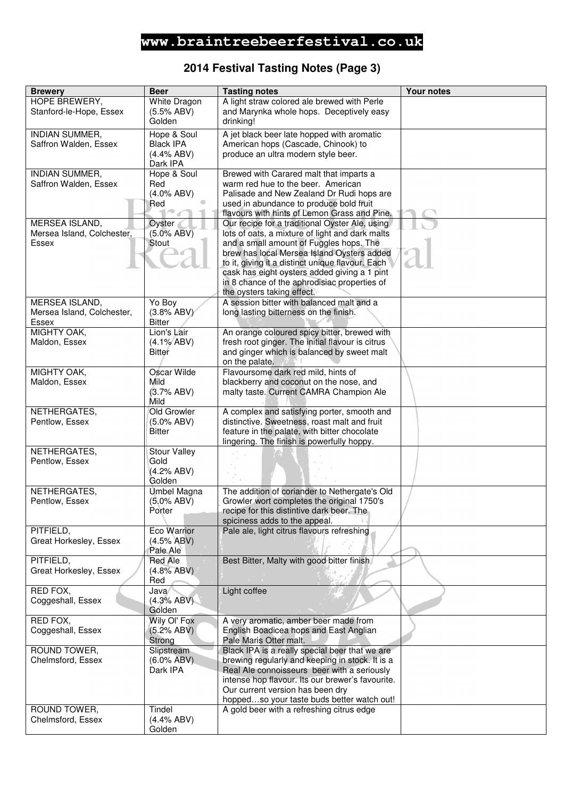### **2014 Festival Tasting Notes (Page 3)**

| <b>Brewery</b>                           | <b>Beer</b>                          | <b>Tasting notes</b>                                                                                 | <b>Your notes</b> |
|------------------------------------------|--------------------------------------|------------------------------------------------------------------------------------------------------|-------------------|
| HOPE BREWERY,<br>Stanford-le-Hope, Essex | White Dragon<br>(5.5% ABV)<br>Golden | A light straw colored ale brewed with Perle<br>and Marynka whole hops. Deceptively easy<br>drinking! |                   |
| <b>INDIAN SUMMER,</b>                    | Hope & Soul                          | A jet black beer late hopped with aromatic                                                           |                   |
| Saffron Walden, Essex                    | <b>Black IPA</b>                     | American hops (Cascade, Chinook) to                                                                  |                   |
|                                          | (4.4% ABV)                           | produce an ultra modern style beer.                                                                  |                   |
|                                          | Dark IPA                             |                                                                                                      |                   |
| <b>INDIAN SUMMER,</b>                    | Hope & Soul                          | Brewed with Carared malt that imparts a                                                              |                   |
| Saffron Walden, Essex                    | Red                                  | warm red hue to the beer. American                                                                   |                   |
|                                          | $(4.0\%$ ABV)                        | Palisade and New Zealand Dr Rudi hops are                                                            |                   |
|                                          | Red                                  | used in abundance to produce bold fruit<br>flavours with hints of Lemon Grass and Pine.              |                   |
| <b>MERSEA ISLAND,</b>                    | Oyster                               | Our recipe for a traditional Oyster Ale, using                                                       |                   |
| Mersea Island, Colchester,               | $(5.0\%$ ABV)                        | lots of oats, a mixture of light and dark malts                                                      |                   |
| Essex                                    | Stout                                | and a small amount of Fuggles hops. The                                                              |                   |
|                                          |                                      | brew has local Mersea Island Oysters added                                                           |                   |
|                                          |                                      | to it, giving it a distinct unique flavour. Each                                                     |                   |
|                                          |                                      | cask has eight oysters added giving a 1 pint                                                         |                   |
|                                          |                                      | in 8 chance of the aphrodisiac properties of<br>the oysters taking effect.                           |                   |
| MERSEA ISLAND,                           | Yo Boy                               | A session bitter with balanced malt and a                                                            |                   |
| Mersea Island, Colchester,               | (3.8% ABV)                           | long lasting bitterness on the finish.                                                               |                   |
| Essex                                    | <b>Bitter</b>                        |                                                                                                      |                   |
| MIGHTY OAK,                              | Lion's Lair                          | An orange coloured spicy bitter, brewed with                                                         |                   |
| Maldon, Essex                            | $(4.1\% ABV)$                        | fresh root ginger. The initial flavour is citrus                                                     |                   |
|                                          | Bitter                               | and ginger which is balanced by sweet malt                                                           |                   |
| MIGHTY OAK,                              | Oscar Wilde                          | on the palate.<br>Flavoursome dark red mild, hints of                                                |                   |
| Maldon, Essex                            | Mild                                 | blackberry and coconut on the nose, and                                                              |                   |
|                                          | (3.7% ABV)                           | malty taste. Current CAMRA Champion Ale                                                              |                   |
|                                          | Mild                                 |                                                                                                      |                   |
| NETHERGATES,                             | Old Growler                          | A complex and satisfying porter, smooth and                                                          |                   |
| Pentlow, Essex                           | $(5.0\%$ ABV)<br><b>Bitter</b>       | distinctive. Sweetness, roast malt and fruit<br>feature in the palate, with bitter chocolate         |                   |
|                                          |                                      | lingering. The finish is powerfully hoppy.                                                           |                   |
| NETHERGATES,                             | <b>Stour Valley</b>                  |                                                                                                      |                   |
| Pentlow, Essex                           | Gold                                 |                                                                                                      |                   |
|                                          | (4.2% ABV)                           |                                                                                                      |                   |
| NETHERGATES,                             | Golden                               | The addition of coriander to Nethergate's Old                                                        |                   |
| Pentlow, Essex                           | Umbel Magna<br>$(5.0\%$ ABV)         | Growler wort completes the original 1750's                                                           |                   |
|                                          | Porter                               | recipe for this distintive dark beer. The                                                            |                   |
|                                          |                                      | spiciness adds to the appeal.                                                                        |                   |
| PITFIELD,                                | Eco Warrior                          | Pale ale, light citrus flavours refreshing                                                           |                   |
| Great Horkesley, Essex                   | $(4.5\%$ ABV)<br>Pale Ale            |                                                                                                      |                   |
| PITFIELD,                                | <b>Red Ale</b>                       | Best Bitter, Malty with good bitter finish                                                           |                   |
| Great Horkesley, Essex                   | $(4.8\%$ ABV)                        |                                                                                                      |                   |
|                                          | Red                                  |                                                                                                      |                   |
| RED FOX,                                 | Java                                 | Light coffee                                                                                         |                   |
| Coggeshall, Essex                        | (4.3% ABV)<br>Golden                 |                                                                                                      |                   |
| RED FOX,                                 | Wily OI' Fox                         | A very aromatic, amber beer made from                                                                |                   |
| Coggeshall, Essex                        | (5.2% ABV)                           | English Boadicea hops and East Anglian                                                               |                   |
|                                          | Strong                               | Pale Maris Otter malt.                                                                               |                   |
| ROUND TOWER,                             | Slipstream                           | Black IPA is a really special beer that we are                                                       |                   |
| Chelmsford, Essex                        | $(6.0\%$ ABV)                        | brewing regularly and keeping in stock. It is a                                                      |                   |
|                                          | Dark IPA                             | Real Ale connoisseurs beer with a seriously<br>intense hop flavour. Its our brewer's favourite.      |                   |
|                                          |                                      | Our current version has been dry                                                                     |                   |
|                                          |                                      | hoppedso your taste buds better watch out!                                                           |                   |
| ROUND TOWER,                             | Tindel                               | A gold beer with a refreshing citrus edge                                                            |                   |
| Chelmsford, Essex                        | (4.4% ABV)                           |                                                                                                      |                   |
|                                          | Golden                               |                                                                                                      |                   |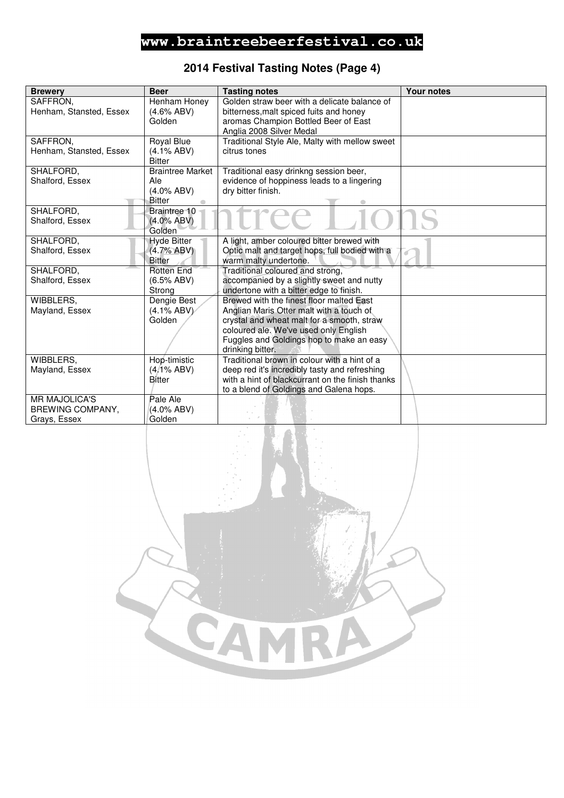## **2014 Festival Tasting Notes (Page 4)**

| <b>Brewery</b>          | <b>Beer</b>             | <b>Tasting notes</b>                             | <b>Your notes</b> |
|-------------------------|-------------------------|--------------------------------------------------|-------------------|
| SAFFRON,                | Henham Honey            | Golden straw beer with a delicate balance of     |                   |
| Henham, Stansted, Essex | $(4.6\%$ ABV)           | bitterness, malt spiced fuits and honey          |                   |
|                         | Golden                  | aromas Champion Bottled Beer of East             |                   |
|                         |                         | Anglia 2008 Silver Medal                         |                   |
| SAFFRON,                | Royal Blue              | Traditional Style Ale, Malty with mellow sweet   |                   |
| Henham, Stansted, Essex | $(4.1\%$ ABV)           | citrus tones                                     |                   |
|                         | <b>Bitter</b>           |                                                  |                   |
| SHALFORD,               | <b>Braintree Market</b> | Traditional easy drinkng session beer,           |                   |
| Shalford, Essex         | Ale                     | evidence of hoppiness leads to a lingering       |                   |
|                         | $(4.0\%$ ABV)           | dry bitter finish.                               |                   |
|                         | Bitter                  |                                                  |                   |
| SHALFORD,               | Braintree 10            | Tee                                              |                   |
| Shalford, Essex         | $(4.0\%$ ABV)           |                                                  |                   |
|                         | Golden                  |                                                  |                   |
| SHALFORD,               | <b>Hyde Bitter</b>      | A light, amber coloured bitter brewed with       |                   |
| Shalford, Essex         | $(4.7\% ABV)$           | Optic malt and target hops, full bodied with a   |                   |
|                         | <b>Bitter</b>           | warm malty undertone.                            |                   |
| SHALFORD,               | <b>Rotten End</b>       | Traditional coloured and strong,                 |                   |
| Shalford, Essex         | (6.5% ABV)              | accompanied by a slightly sweet and nutty        |                   |
|                         | Strong                  | undertone with a bitter edge to finish.          |                   |
| WIBBLERS,               | Dengie Best             | Brewed with the finest floor malted East         |                   |
| Mayland, Essex          | $(4.1\%$ ABV)           | Anglian Maris Otter malt with a touch of         |                   |
|                         | Golden                  | crystal and wheat malt for a smooth, straw       |                   |
|                         |                         | coloured ale. We've used only English            |                   |
|                         |                         | Fuggles and Goldings hop to make an easy         |                   |
|                         |                         | drinking bitter.                                 |                   |
| WIBBLERS.               | Hop-timistic            | Traditional brown in colour with a hint of a     |                   |
| Mayland, Essex          | $(4/1\%$ ABV)           | deep red it's incredibly tasty and refreshing    |                   |
|                         | Bitter                  | with a hint of blackcurrant on the finish thanks |                   |
| <b>MR MAJOLICA'S</b>    | Pale Ale                | to a blend of Goldings and Galena hops.          |                   |
|                         |                         |                                                  |                   |
| BREWING COMPANY,        | $(4.0\%$ ABV)<br>Golden |                                                  |                   |
| Grays, Essex            |                         |                                                  |                   |
|                         |                         |                                                  |                   |